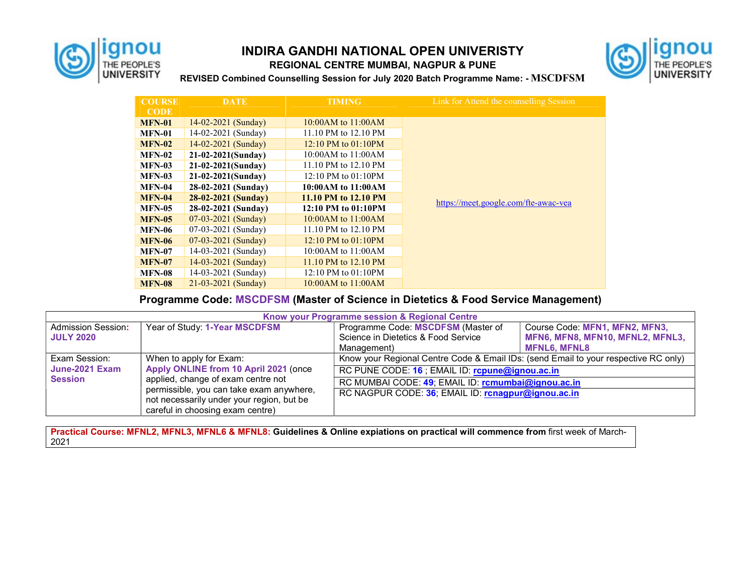

## INDIRA GANDHI NATIONAL OPEN UNIVERISTY REGIONAL CENTRE MUMBAI, NAGPUR & PUNE



REVISED Combined Counselling Session for July 2020 Batch Programme Name: - MSCDFSM

| <b>COURSE</b> | <b>DATE</b>           | <b>TIMING</b>            | Link for Attend the counselling Session |  |
|---------------|-----------------------|--------------------------|-----------------------------------------|--|
| <b>CODE</b>   |                       |                          |                                         |  |
| <b>MFN-01</b> | $14-02-2021$ (Sunday) | $10:00AM$ to $11:00AM$   |                                         |  |
| <b>MFN-01</b> | 14-02-2021 (Sunday)   | 11.10 PM to 12.10 PM     |                                         |  |
| <b>MFN-02</b> | 14-02-2021 (Sunday)   | $12:10$ PM to $01:10$ PM |                                         |  |
| <b>MFN-02</b> | 21-02-2021(Sunday)    | 10:00AM to $11:00AM$     |                                         |  |
| <b>MFN-03</b> | $21-02-2021(Sundav)$  | 11.10 PM to 12.10 PM     |                                         |  |
| <b>MFN-03</b> | $21-02-2021(Sundav)$  | 12:10 PM to 01:10PM      |                                         |  |
| <b>MFN-04</b> | 28-02-2021 (Sunday)   | 10:00AM to 11:00AM       |                                         |  |
| <b>MFN-04</b> | 28-02-2021 (Sunday)   | 11.10 PM to 12.10 PM     |                                         |  |
| <b>MFN-05</b> | 28-02-2021 (Sunday)   | 12:10 PM to 01:10PM      | https://meet.google.com/fte-awac-vea    |  |
| <b>MFN-05</b> | 07-03-2021 (Sunday)   | 10:00AM to $11:00AM$     |                                         |  |
| <b>MFN-06</b> | $07-03-2021$ (Sunday) | 11.10 PM to 12.10 PM     |                                         |  |
| <b>MFN-06</b> | 07-03-2021 (Sunday)   | 12:10 PM to $01:10PM$    |                                         |  |
| <b>MFN-07</b> | 14-03-2021 (Sunday)   | 10:00AM to 11:00AM       |                                         |  |
| <b>MFN-07</b> | $14-03-2021$ (Sunday) | 11.10 PM to 12.10 PM     |                                         |  |
| <b>MFN-08</b> | 14-03-2021 (Sunday)   | 12:10 PM to $01:10PM$    |                                         |  |
| <b>MFN-08</b> | 21-03-2021 (Sunday)   | $10:00AM$ to $11:00AM$   |                                         |  |

## Programme Code: MSCDFSM (Master of Science in Dietetics & Food Service Management)

| Know your Programme session & Regional Centre     |                                                                                                                                                                                                                                     |                                                                                                                                                                                              |                                                                                           |  |  |  |
|---------------------------------------------------|-------------------------------------------------------------------------------------------------------------------------------------------------------------------------------------------------------------------------------------|----------------------------------------------------------------------------------------------------------------------------------------------------------------------------------------------|-------------------------------------------------------------------------------------------|--|--|--|
| <b>Admission Session:</b><br><b>JULY 2020</b>     | Year of Study: 1-Year MSCDFSM                                                                                                                                                                                                       | Programme Code: MSCDFSM (Master of<br>Science in Dietetics & Food Service<br>Management)                                                                                                     | Course Code: MFN1, MFN2, MFN3,<br>MFN6, MFN8, MFN10, MFNL2, MFNL3,<br><b>MFNL6. MFNL8</b> |  |  |  |
| Exam Session:<br>June-2021 Exam<br><b>Session</b> | When to apply for Exam:<br>Apply ONLINE from 10 April 2021 (once<br>applied, change of exam centre not<br>permissible, you can take exam anywhere,<br>not necessarily under your region, but be<br>careful in choosing exam centre) | Know your Regional Centre Code & Email IDs: (send Email to your respective RC only)<br>RC PUNE CODE: 16 ; EMAIL ID: rcpune@ignou.ac.in<br>RC MUMBAI CODE: 49; EMAIL ID: rcmumbai@ignou.ac.in |                                                                                           |  |  |  |
|                                                   |                                                                                                                                                                                                                                     | RC NAGPUR CODE: 36; EMAIL ID: rcnagpur@ignou.ac.in                                                                                                                                           |                                                                                           |  |  |  |

Practical Course: MFNL2, MFNL3, MFNL6 & MFNL8: Guidelines & Online expiations on practical will commence from first week of March-2021